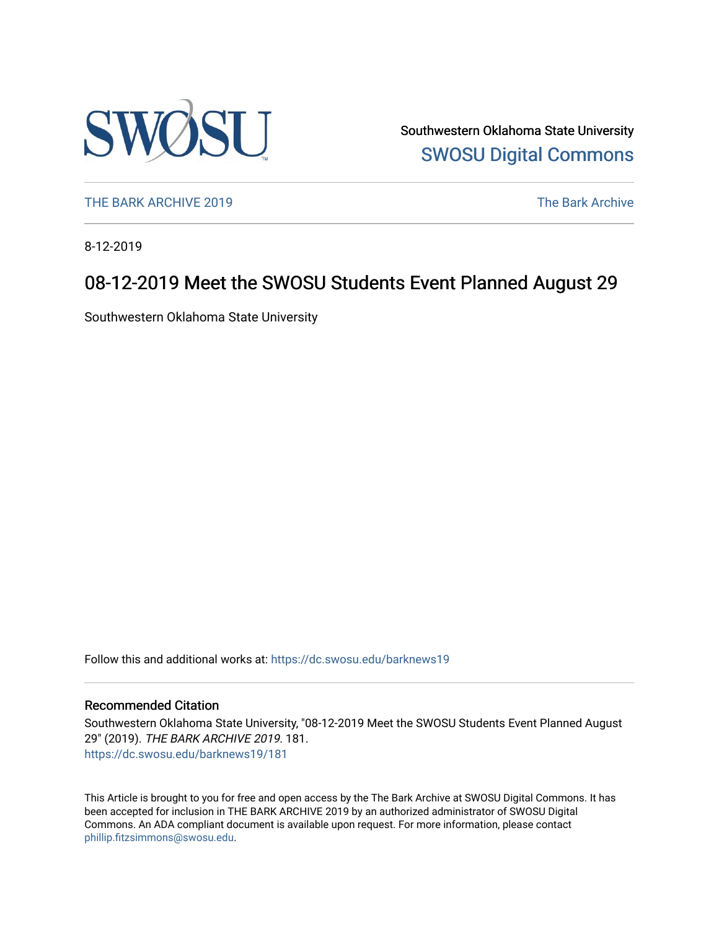

Southwestern Oklahoma State University [SWOSU Digital Commons](https://dc.swosu.edu/) 

[THE BARK ARCHIVE 2019](https://dc.swosu.edu/barknews19) The Bark Archive

8-12-2019

### 08-12-2019 Meet the SWOSU Students Event Planned August 29

Southwestern Oklahoma State University

Follow this and additional works at: [https://dc.swosu.edu/barknews19](https://dc.swosu.edu/barknews19?utm_source=dc.swosu.edu%2Fbarknews19%2F181&utm_medium=PDF&utm_campaign=PDFCoverPages)

#### Recommended Citation

Southwestern Oklahoma State University, "08-12-2019 Meet the SWOSU Students Event Planned August 29" (2019). THE BARK ARCHIVE 2019. 181. [https://dc.swosu.edu/barknews19/181](https://dc.swosu.edu/barknews19/181?utm_source=dc.swosu.edu%2Fbarknews19%2F181&utm_medium=PDF&utm_campaign=PDFCoverPages)

This Article is brought to you for free and open access by the The Bark Archive at SWOSU Digital Commons. It has been accepted for inclusion in THE BARK ARCHIVE 2019 by an authorized administrator of SWOSU Digital Commons. An ADA compliant document is available upon request. For more information, please contact [phillip.fitzsimmons@swosu.edu](mailto:phillip.fitzsimmons@swosu.edu).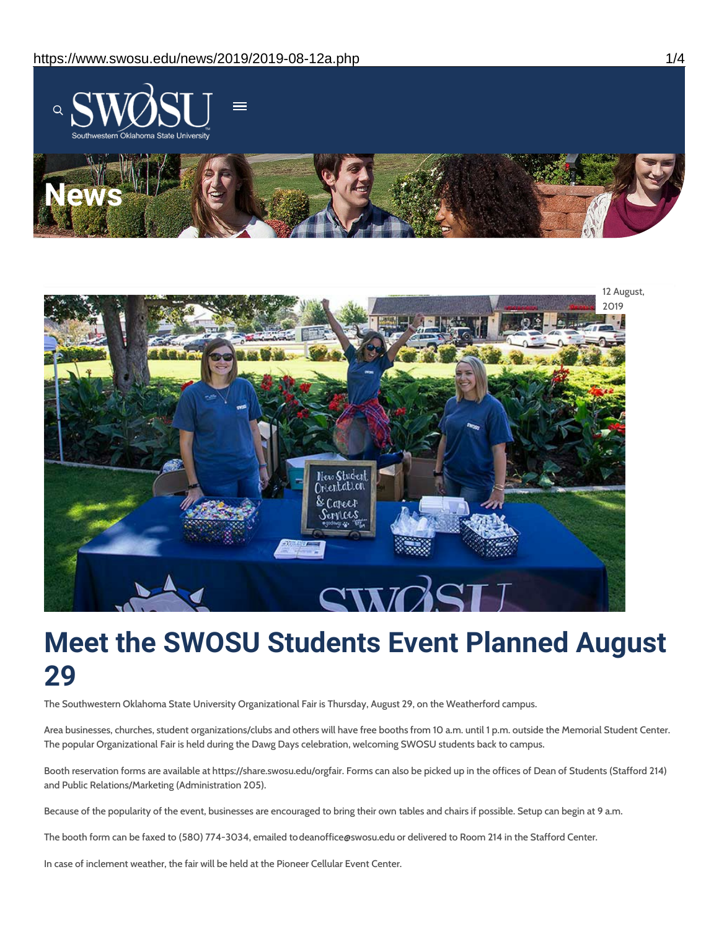



# **Meet the SWOSU Students Event Planned August 29**

The Southwestern Oklahoma State University Organizational Fair is Thursday, August 29, on the Weatherford campus.

Area businesses, churches, student organizations/clubs and others will have free booths from 10 a.m. until 1 p.m. outside the Memorial Student Center. The popular Organizational Fair is held during the Dawg Days celebration, welcoming SWOSU students back to campus.

Booth reservation forms are available at https://share.swosu.edu/orgfair. Forms can also be picked up in the offices of Dean of Students (Stafford 214) and Public Relations/Marketing (Administration 205).

Because of the popularity of the event, businesses are encouraged to bring their own tables and chairs if possible. Setup can begin at 9 a.m.

The booth form can be faxed to (580) 774-3034, emailed todeanoffice@swosu.edu or delivered to Room 214 in the Stafford Center.

In case of inclement weather, the fair will be held at the Pioneer Cellular Event Center.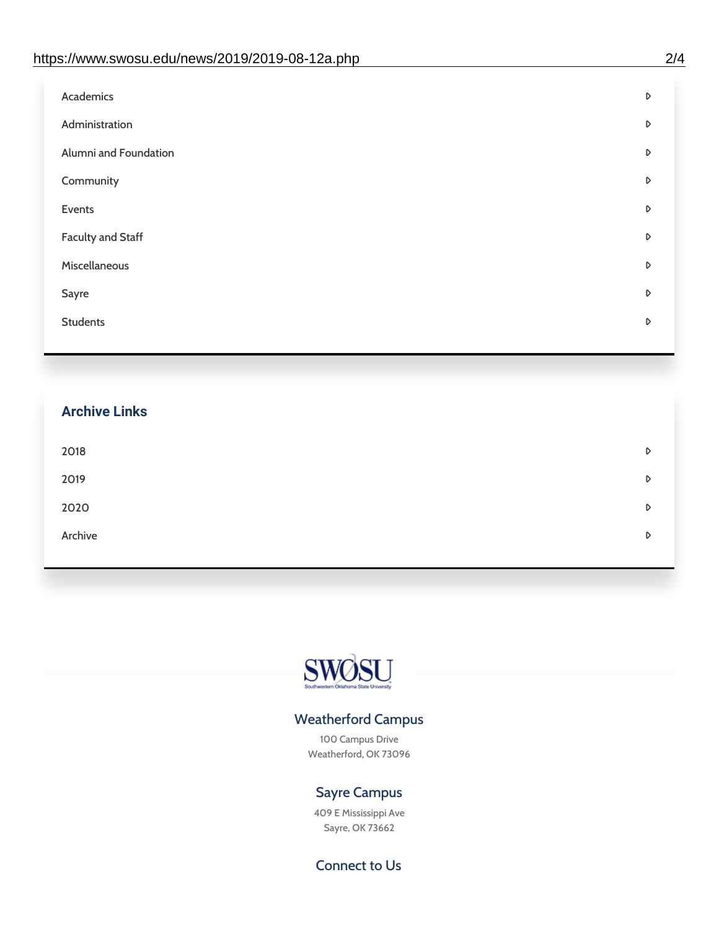| D |
|---|
| D |
| D |
| D |
| D |
| D |
| D |
| D |
| D |
|   |

## **Archive Links**  $2018$  $2019$ [2020](https://www.swosu.edu/news/2020/index.php)  $\bullet$ [Archive](https://dc.swosu.edu/bark/) **Archive Archive Archive Archive Archive** Archive Archive Archive Archive Archive Archive Archive Archive



#### Weatherford Campus

100 Campus Drive Weatherford, OK 73096

### Sayre Campus

409 E Mississippi Ave Sayre, OK 73662

Connect to Us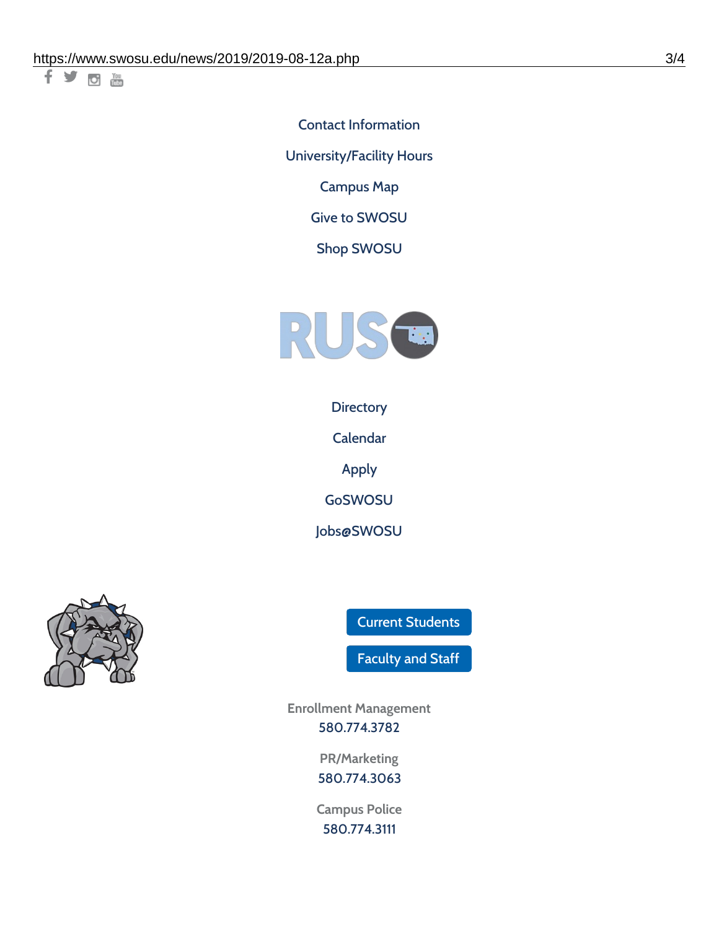千岁回调

Contact [Information](https://www.swosu.edu/about/contact.php) [University/Facility](https://www.swosu.edu/about/operating-hours.php) Hours [Campus](https://map.concept3d.com/?id=768#!ct/10964,10214,10213,10212,10205,10204,10203,10202,10136,10129,10128,0,31226,10130,10201,10641,0) Map

Give to [SWOSU](https://standingfirmly.com/donate)

Shop [SWOSU](https://shopswosu.merchorders.com/)



**[Directory](https://www.swosu.edu/directory/index.php)** 

[Calendar](https://eventpublisher.dudesolutions.com/swosu/)

[Apply](https://www.swosu.edu/admissions/apply-to-swosu.php)

[GoSWOSU](https://qlsso.quicklaunchsso.com/home/1267)

[Jobs@SWOSU](https://swosu.csod.com/ux/ats/careersite/1/home?c=swosu)



Current [Students](https://bulldog.swosu.edu/index.php)

[Faculty](https://bulldog.swosu.edu/faculty-staff/index.php) and Staff

**Enrollment Management** [580.774.3782](tel:5807743782)

> **PR/Marketing** [580.774.3063](tel:5807743063)

**Campus Police** [580.774.3111](tel:5807743111)